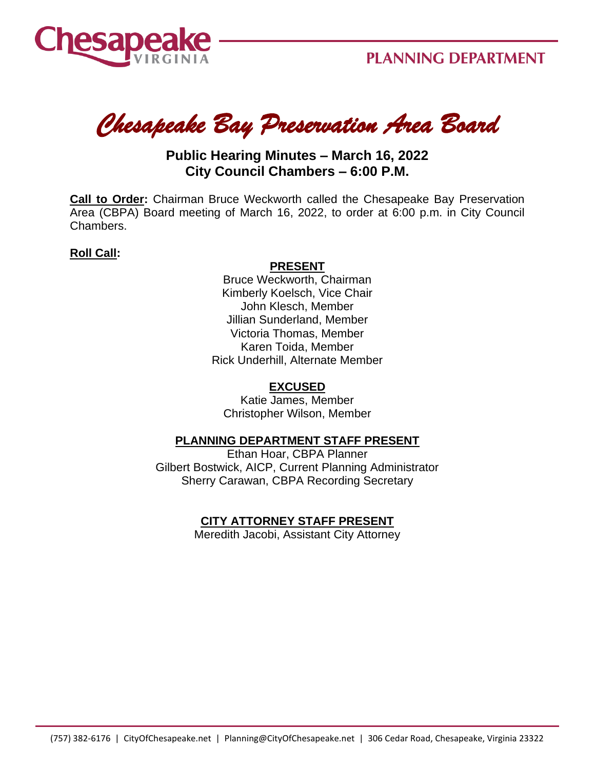

*Chesapeake Bay Preservation Area Board* 

# **Public Hearing Minutes – March 16, 2022 City Council Chambers – 6:00 P.M.**

**Call to Order:** Chairman Bruce Weckworth called the Chesapeake Bay Preservation Area (CBPA) Board meeting of March 16, 2022, to order at 6:00 p.m. in City Council Chambers.

**Roll Call:**

#### **PRESENT**

Bruce Weckworth, Chairman Kimberly Koelsch, Vice Chair John Klesch, Member Jillian Sunderland, Member Victoria Thomas, Member Karen Toida, Member Rick Underhill, Alternate Member

# **EXCUSED**

Katie James, Member Christopher Wilson, Member

# **PLANNING DEPARTMENT STAFF PRESENT**

Ethan Hoar, CBPA Planner Gilbert Bostwick, AICP, Current Planning Administrator Sherry Carawan, CBPA Recording Secretary

# **CITY ATTORNEY STAFF PRESENT**

Meredith Jacobi, Assistant City Attorney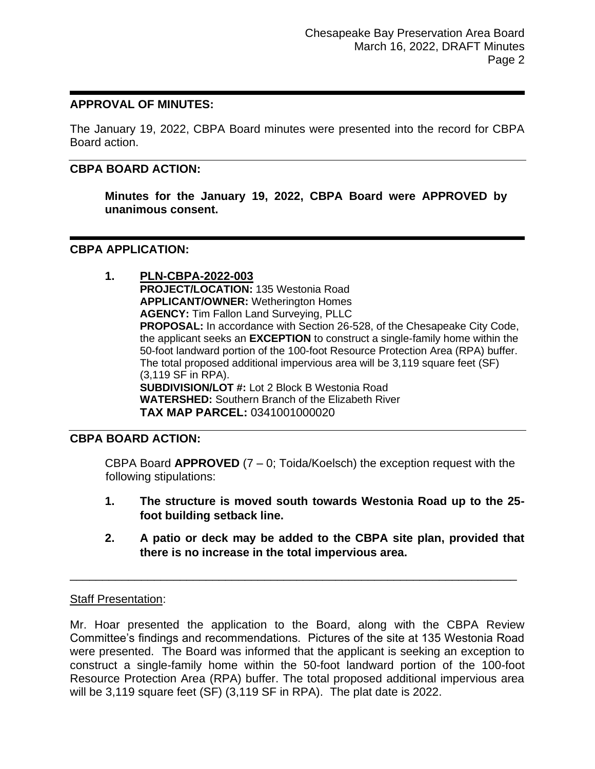#### **APPROVAL OF MINUTES:**

The January 19, 2022, CBPA Board minutes were presented into the record for CBPA Board action.

#### **CBPA BOARD ACTION:**

**Minutes for the January 19, 2022, CBPA Board were APPROVED by unanimous consent.**

#### **CBPA APPLICATION:**

**1. PLN-CBPA-2022-003 PROJECT/LOCATION:** 135 Westonia Road **APPLICANT/OWNER:** Wetherington Homes **AGENCY:** Tim Fallon Land Surveying, PLLC **PROPOSAL:** In accordance with Section 26-528, of the Chesapeake City Code, the applicant seeks an **EXCEPTION** to construct a single-family home within the 50-foot landward portion of the 100-foot Resource Protection Area (RPA) buffer. The total proposed additional impervious area will be 3,119 square feet (SF) (3,119 SF in RPA). **SUBDIVISION/LOT #:** Lot 2 Block B Westonia Road **WATERSHED:** Southern Branch of the Elizabeth River **TAX MAP PARCEL:** 0341001000020

### **CBPA BOARD ACTION:**

CBPA Board **APPROVED** (7 – 0; Toida/Koelsch) the exception request with the following stipulations:

- **1. The structure is moved south towards Westonia Road up to the 25 foot building setback line.**
- **2. A patio or deck may be added to the CBPA site plan, provided that there is no increase in the total impervious area.**

#### Staff Presentation:

Mr. Hoar presented the application to the Board, along with the CBPA Review Committee's findings and recommendations. Pictures of the site at 135 Westonia Road were presented. The Board was informed that the applicant is seeking an exception to construct a single-family home within the 50-foot landward portion of the 100-foot Resource Protection Area (RPA) buffer. The total proposed additional impervious area will be 3,119 square feet (SF) (3,119 SF in RPA). The plat date is 2022.

\_\_\_\_\_\_\_\_\_\_\_\_\_\_\_\_\_\_\_\_\_\_\_\_\_\_\_\_\_\_\_\_\_\_\_\_\_\_\_\_\_\_\_\_\_\_\_\_\_\_\_\_\_\_\_\_\_\_\_\_\_\_\_\_\_\_\_\_\_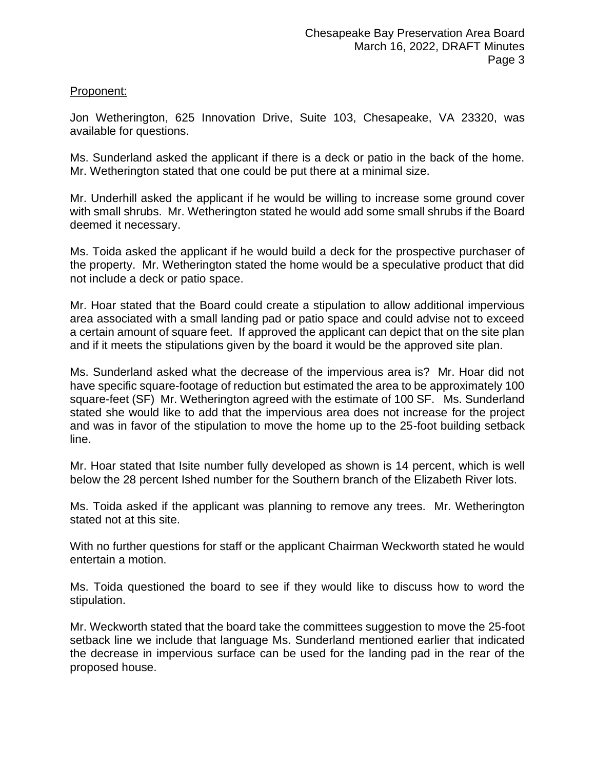# Proponent:

Jon Wetherington, 625 Innovation Drive, Suite 103, Chesapeake, VA 23320, was available for questions.

Ms. Sunderland asked the applicant if there is a deck or patio in the back of the home. Mr. Wetherington stated that one could be put there at a minimal size.

Mr. Underhill asked the applicant if he would be willing to increase some ground cover with small shrubs. Mr. Wetherington stated he would add some small shrubs if the Board deemed it necessary.

Ms. Toida asked the applicant if he would build a deck for the prospective purchaser of the property. Mr. Wetherington stated the home would be a speculative product that did not include a deck or patio space.

Mr. Hoar stated that the Board could create a stipulation to allow additional impervious area associated with a small landing pad or patio space and could advise not to exceed a certain amount of square feet. If approved the applicant can depict that on the site plan and if it meets the stipulations given by the board it would be the approved site plan.

Ms. Sunderland asked what the decrease of the impervious area is? Mr. Hoar did not have specific square-footage of reduction but estimated the area to be approximately 100 square-feet (SF) Mr. Wetherington agreed with the estimate of 100 SF. Ms. Sunderland stated she would like to add that the impervious area does not increase for the project and was in favor of the stipulation to move the home up to the 25-foot building setback line.

Mr. Hoar stated that Isite number fully developed as shown is 14 percent, which is well below the 28 percent Ished number for the Southern branch of the Elizabeth River lots.

Ms. Toida asked if the applicant was planning to remove any trees. Mr. Wetherington stated not at this site.

With no further questions for staff or the applicant Chairman Weckworth stated he would entertain a motion.

Ms. Toida questioned the board to see if they would like to discuss how to word the stipulation.

Mr. Weckworth stated that the board take the committees suggestion to move the 25-foot setback line we include that language Ms. Sunderland mentioned earlier that indicated the decrease in impervious surface can be used for the landing pad in the rear of the proposed house.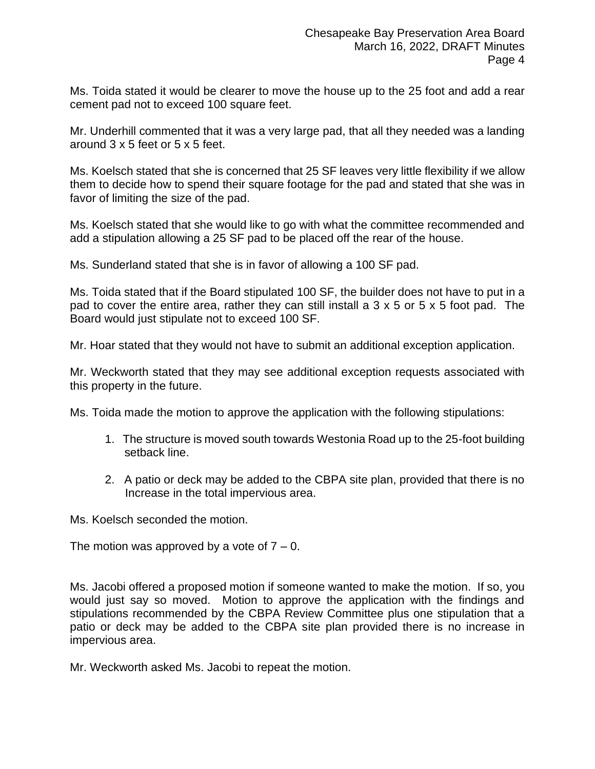Ms. Toida stated it would be clearer to move the house up to the 25 foot and add a rear cement pad not to exceed 100 square feet.

Mr. Underhill commented that it was a very large pad, that all they needed was a landing around 3 x 5 feet or 5 x 5 feet.

Ms. Koelsch stated that she is concerned that 25 SF leaves very little flexibility if we allow them to decide how to spend their square footage for the pad and stated that she was in favor of limiting the size of the pad.

Ms. Koelsch stated that she would like to go with what the committee recommended and add a stipulation allowing a 25 SF pad to be placed off the rear of the house.

Ms. Sunderland stated that she is in favor of allowing a 100 SF pad.

Ms. Toida stated that if the Board stipulated 100 SF, the builder does not have to put in a pad to cover the entire area, rather they can still install a  $3 \times 5$  or  $5 \times 5$  foot pad. The Board would just stipulate not to exceed 100 SF.

Mr. Hoar stated that they would not have to submit an additional exception application.

Mr. Weckworth stated that they may see additional exception requests associated with this property in the future.

Ms. Toida made the motion to approve the application with the following stipulations:

- 1. The structure is moved south towards Westonia Road up to the 25-foot building setback line.
- 2. A patio or deck may be added to the CBPA site plan, provided that there is no Increase in the total impervious area.

Ms. Koelsch seconded the motion.

The motion was approved by a vote of  $7 - 0$ .

Ms. Jacobi offered a proposed motion if someone wanted to make the motion. If so, you would just say so moved. Motion to approve the application with the findings and stipulations recommended by the CBPA Review Committee plus one stipulation that a patio or deck may be added to the CBPA site plan provided there is no increase in impervious area.

Mr. Weckworth asked Ms. Jacobi to repeat the motion.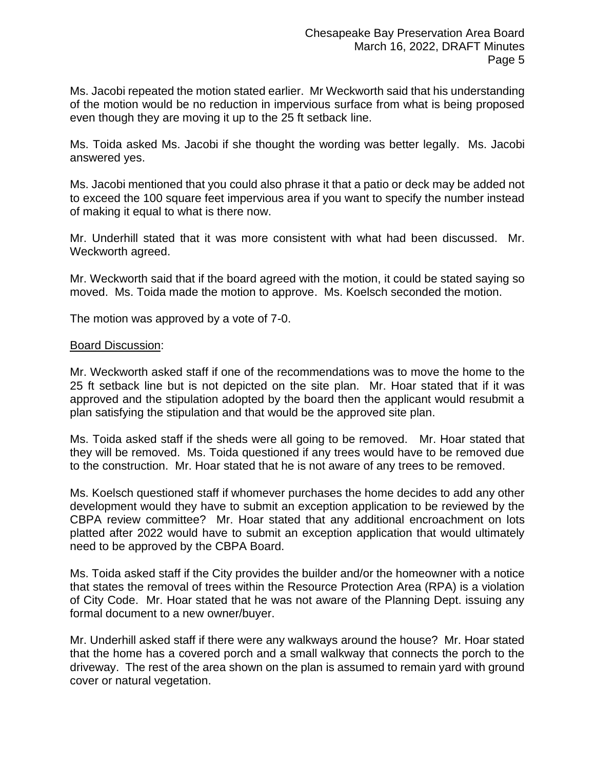Ms. Jacobi repeated the motion stated earlier. Mr Weckworth said that his understanding of the motion would be no reduction in impervious surface from what is being proposed even though they are moving it up to the 25 ft setback line.

Ms. Toida asked Ms. Jacobi if she thought the wording was better legally. Ms. Jacobi answered yes.

Ms. Jacobi mentioned that you could also phrase it that a patio or deck may be added not to exceed the 100 square feet impervious area if you want to specify the number instead of making it equal to what is there now.

Mr. Underhill stated that it was more consistent with what had been discussed. Mr. Weckworth agreed.

Mr. Weckworth said that if the board agreed with the motion, it could be stated saying so moved. Ms. Toida made the motion to approve. Ms. Koelsch seconded the motion.

The motion was approved by a vote of 7-0.

#### Board Discussion:

Mr. Weckworth asked staff if one of the recommendations was to move the home to the 25 ft setback line but is not depicted on the site plan. Mr. Hoar stated that if it was approved and the stipulation adopted by the board then the applicant would resubmit a plan satisfying the stipulation and that would be the approved site plan.

Ms. Toida asked staff if the sheds were all going to be removed. Mr. Hoar stated that they will be removed. Ms. Toida questioned if any trees would have to be removed due to the construction. Mr. Hoar stated that he is not aware of any trees to be removed.

Ms. Koelsch questioned staff if whomever purchases the home decides to add any other development would they have to submit an exception application to be reviewed by the CBPA review committee? Mr. Hoar stated that any additional encroachment on lots platted after 2022 would have to submit an exception application that would ultimately need to be approved by the CBPA Board.

Ms. Toida asked staff if the City provides the builder and/or the homeowner with a notice that states the removal of trees within the Resource Protection Area (RPA) is a violation of City Code. Mr. Hoar stated that he was not aware of the Planning Dept. issuing any formal document to a new owner/buyer.

Mr. Underhill asked staff if there were any walkways around the house? Mr. Hoar stated that the home has a covered porch and a small walkway that connects the porch to the driveway. The rest of the area shown on the plan is assumed to remain yard with ground cover or natural vegetation.